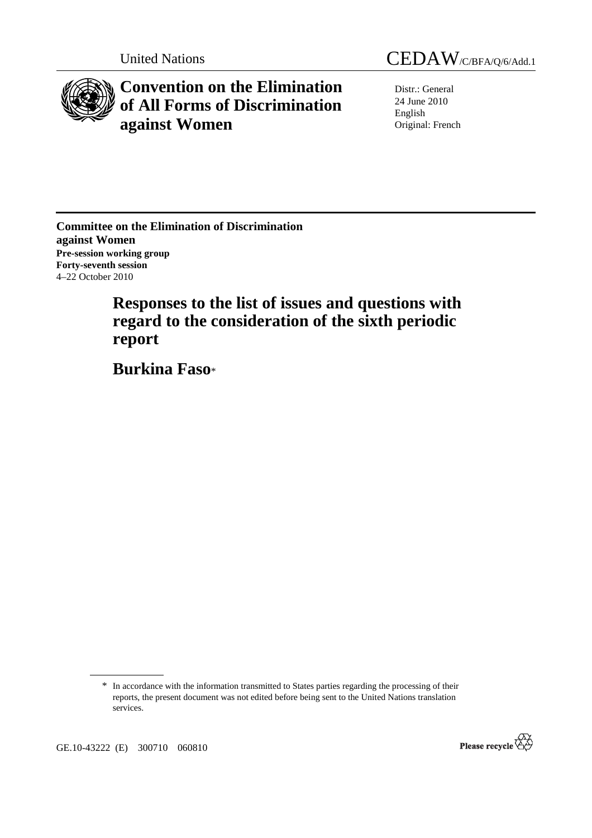

# **Convention on the Elimination of All Forms of Discrimination against Women**

United Nations CEDAW/C/BFA/O/6/Add.1

Distr.: General 24 June 2010 English Original: French

**Committee on the Elimination of Discrimination against Women Pre-session working group Forty-seventh session**  4–22 October 2010

> **Responses to the list of issues and questions with regard to the consideration of the sixth periodic report**

 **Burkina Faso**\*

<sup>\*</sup> In accordance with the information transmitted to States parties regarding the processing of their reports, the present document was not edited before being sent to the United Nations translation services.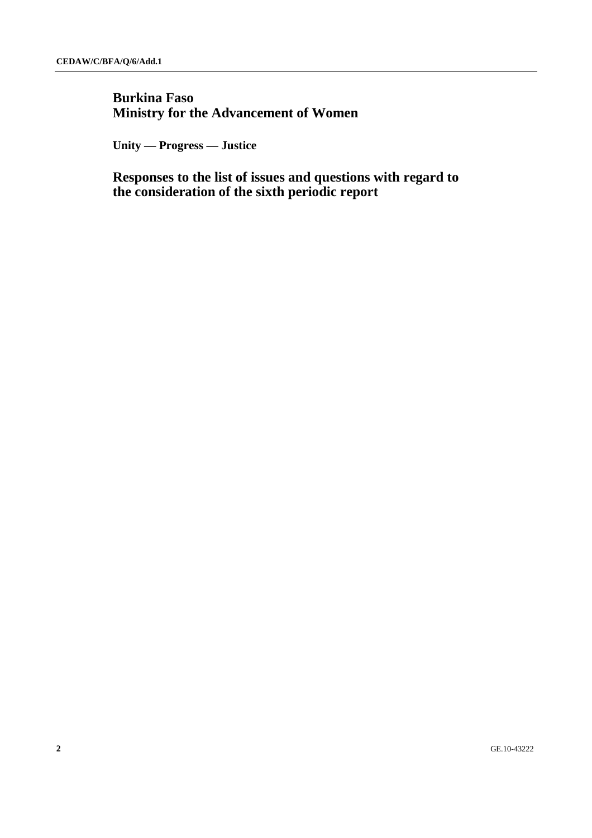## **Burkina Faso Ministry for the Advancement of Women**

 **Unity — Progress — Justice** 

 **Responses to the list of issues and questions with regard to the consideration of the sixth periodic report**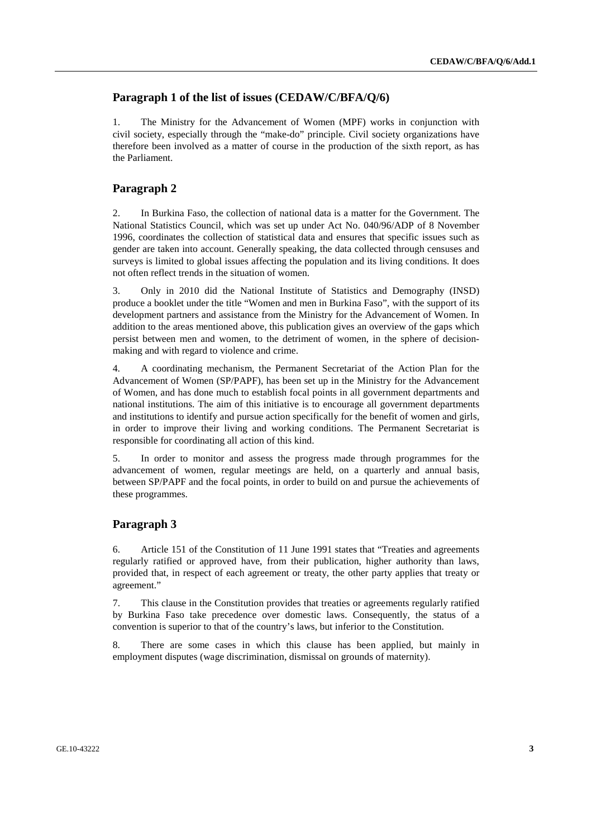## **Paragraph 1 of the list of issues (CEDAW/C/BFA/Q/6)**

1. The Ministry for the Advancement of Women (MPF) works in conjunction with civil society, especially through the "make-do" principle. Civil society organizations have therefore been involved as a matter of course in the production of the sixth report, as has the Parliament.

## **Paragraph 2**

2. In Burkina Faso, the collection of national data is a matter for the Government. The National Statistics Council, which was set up under Act No. 040/96/ADP of 8 November 1996, coordinates the collection of statistical data and ensures that specific issues such as gender are taken into account. Generally speaking, the data collected through censuses and surveys is limited to global issues affecting the population and its living conditions. It does not often reflect trends in the situation of women.

3. Only in 2010 did the National Institute of Statistics and Demography (INSD) produce a booklet under the title "Women and men in Burkina Faso", with the support of its development partners and assistance from the Ministry for the Advancement of Women. In addition to the areas mentioned above, this publication gives an overview of the gaps which persist between men and women, to the detriment of women, in the sphere of decisionmaking and with regard to violence and crime.

4. A coordinating mechanism, the Permanent Secretariat of the Action Plan for the Advancement of Women (SP/PAPF), has been set up in the Ministry for the Advancement of Women, and has done much to establish focal points in all government departments and national institutions. The aim of this initiative is to encourage all government departments and institutions to identify and pursue action specifically for the benefit of women and girls, in order to improve their living and working conditions. The Permanent Secretariat is responsible for coordinating all action of this kind.

5. In order to monitor and assess the progress made through programmes for the advancement of women, regular meetings are held, on a quarterly and annual basis, between SP/PAPF and the focal points, in order to build on and pursue the achievements of these programmes.

#### **Paragraph 3**

6. Article 151 of the Constitution of 11 June 1991 states that "Treaties and agreements regularly ratified or approved have, from their publication, higher authority than laws, provided that, in respect of each agreement or treaty, the other party applies that treaty or agreement."

7. This clause in the Constitution provides that treaties or agreements regularly ratified by Burkina Faso take precedence over domestic laws. Consequently, the status of a convention is superior to that of the country's laws, but inferior to the Constitution.

8. There are some cases in which this clause has been applied, but mainly in employment disputes (wage discrimination, dismissal on grounds of maternity).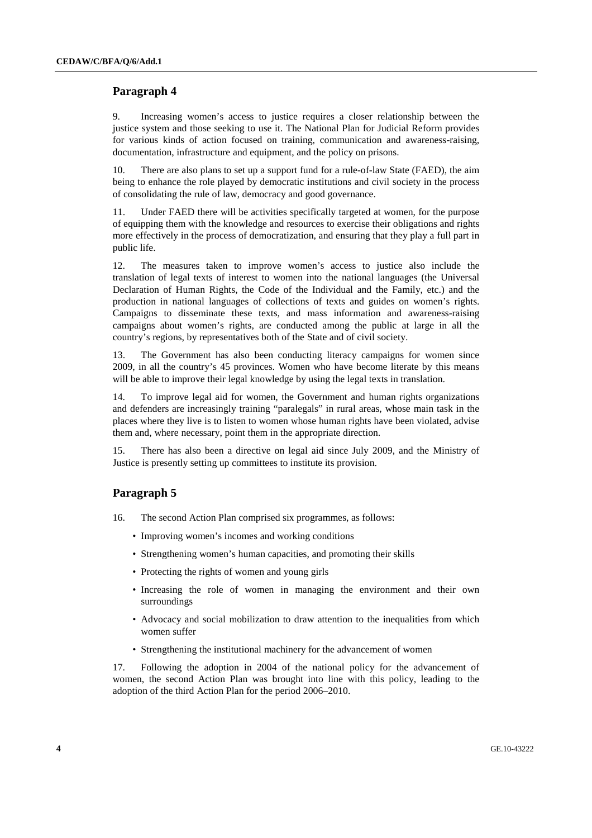9. Increasing women's access to justice requires a closer relationship between the justice system and those seeking to use it. The National Plan for Judicial Reform provides for various kinds of action focused on training, communication and awareness-raising, documentation, infrastructure and equipment, and the policy on prisons.

10. There are also plans to set up a support fund for a rule-of-law State (FAED), the aim being to enhance the role played by democratic institutions and civil society in the process of consolidating the rule of law, democracy and good governance.

11. Under FAED there will be activities specifically targeted at women, for the purpose of equipping them with the knowledge and resources to exercise their obligations and rights more effectively in the process of democratization, and ensuring that they play a full part in public life.

12. The measures taken to improve women's access to justice also include the translation of legal texts of interest to women into the national languages (the Universal Declaration of Human Rights, the Code of the Individual and the Family, etc.) and the production in national languages of collections of texts and guides on women's rights. Campaigns to disseminate these texts, and mass information and awareness-raising campaigns about women's rights, are conducted among the public at large in all the country's regions, by representatives both of the State and of civil society.

13. The Government has also been conducting literacy campaigns for women since 2009, in all the country's 45 provinces. Women who have become literate by this means will be able to improve their legal knowledge by using the legal texts in translation.

14. To improve legal aid for women, the Government and human rights organizations and defenders are increasingly training "paralegals" in rural areas, whose main task in the places where they live is to listen to women whose human rights have been violated, advise them and, where necessary, point them in the appropriate direction.

15. There has also been a directive on legal aid since July 2009, and the Ministry of Justice is presently setting up committees to institute its provision.

#### **Paragraph 5**

16. The second Action Plan comprised six programmes, as follows:

- Improving women's incomes and working conditions
- Strengthening women's human capacities, and promoting their skills
- Protecting the rights of women and young girls
- Increasing the role of women in managing the environment and their own surroundings
- Advocacy and social mobilization to draw attention to the inequalities from which women suffer
- Strengthening the institutional machinery for the advancement of women

17. Following the adoption in 2004 of the national policy for the advancement of women, the second Action Plan was brought into line with this policy, leading to the adoption of the third Action Plan for the period 2006–2010.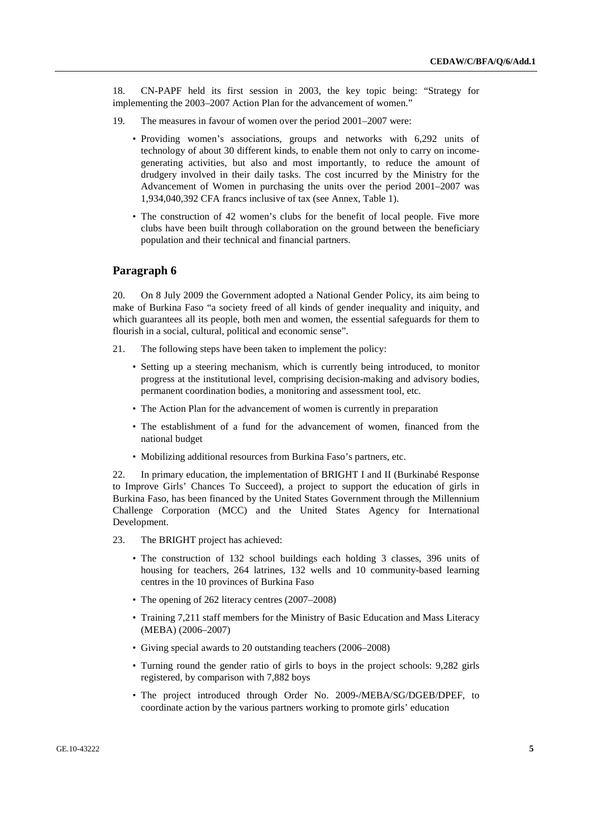18. CN-PAPF held its first session in 2003, the key topic being: "Strategy for implementing the 2003–2007 Action Plan for the advancement of women."

- 19. The measures in favour of women over the period 2001–2007 were:
	- Providing women's associations, groups and networks with 6,292 units of technology of about 30 different kinds, to enable them not only to carry on incomegenerating activities, but also and most importantly, to reduce the amount of drudgery involved in their daily tasks. The cost incurred by the Ministry for the Advancement of Women in purchasing the units over the period 2001–2007 was 1,934,040,392 CFA francs inclusive of tax (see Annex, Table 1).
	- The construction of 42 women's clubs for the benefit of local people. Five more clubs have been built through collaboration on the ground between the beneficiary population and their technical and financial partners.

## **Paragraph 6**

20. On 8 July 2009 the Government adopted a National Gender Policy, its aim being to make of Burkina Faso "a society freed of all kinds of gender inequality and iniquity, and which guarantees all its people, both men and women, the essential safeguards for them to flourish in a social, cultural, political and economic sense".

- 21. The following steps have been taken to implement the policy:
	- Setting up a steering mechanism, which is currently being introduced, to monitor progress at the institutional level, comprising decision-making and advisory bodies, permanent coordination bodies, a monitoring and assessment tool, etc.
	- The Action Plan for the advancement of women is currently in preparation
	- The establishment of a fund for the advancement of women, financed from the national budget
	- Mobilizing additional resources from Burkina Faso's partners, etc.

22. In primary education, the implementation of BRIGHT I and II (Burkinabé Response to Improve Girls' Chances To Succeed), a project to support the education of girls in Burkina Faso, has been financed by the United States Government through the Millennium Challenge Corporation (MCC) and the United States Agency for International Development.

- 23. The BRIGHT project has achieved:
	- The construction of 132 school buildings each holding 3 classes, 396 units of housing for teachers, 264 latrines, 132 wells and 10 community-based learning centres in the 10 provinces of Burkina Faso
	- The opening of 262 literacy centres (2007–2008)
	- Training 7,211 staff members for the Ministry of Basic Education and Mass Literacy (MEBA) (2006–2007)
	- Giving special awards to 20 outstanding teachers (2006–2008)
	- Turning round the gender ratio of girls to boys in the project schools: 9,282 girls registered, by comparison with 7,882 boys
	- The project introduced through Order No. 2009-/MEBA/SG/DGEB/DPEF, to coordinate action by the various partners working to promote girls' education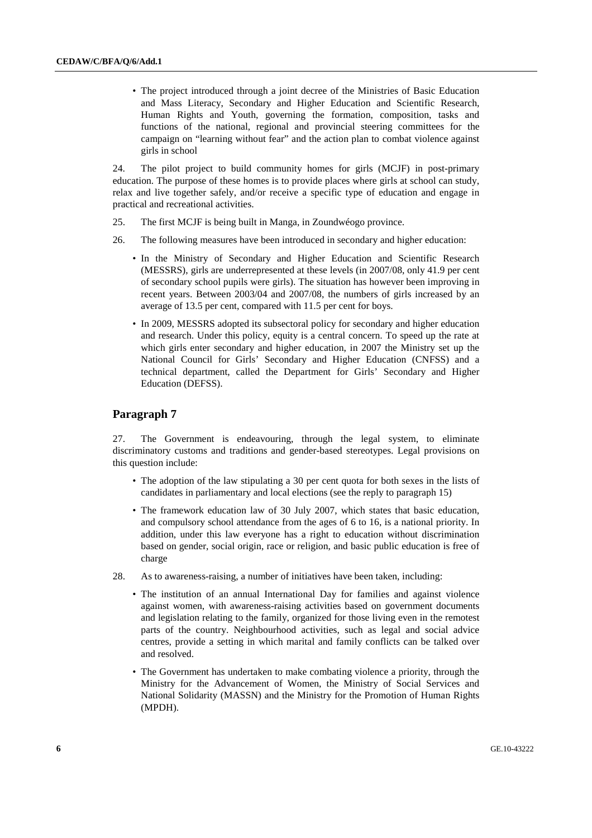• The project introduced through a joint decree of the Ministries of Basic Education and Mass Literacy, Secondary and Higher Education and Scientific Research, Human Rights and Youth, governing the formation, composition, tasks and functions of the national, regional and provincial steering committees for the campaign on "learning without fear" and the action plan to combat violence against girls in school

24. The pilot project to build community homes for girls (MCJF) in post-primary education. The purpose of these homes is to provide places where girls at school can study, relax and live together safely, and/or receive a specific type of education and engage in practical and recreational activities.

- 25. The first MCJF is being built in Manga, in Zoundwéogo province.
- 26. The following measures have been introduced in secondary and higher education:
	- In the Ministry of Secondary and Higher Education and Scientific Research (MESSRS), girls are underrepresented at these levels (in 2007/08, only 41.9 per cent of secondary school pupils were girls). The situation has however been improving in recent years. Between 2003/04 and 2007/08, the numbers of girls increased by an average of 13.5 per cent, compared with 11.5 per cent for boys.
	- In 2009, MESSRS adopted its subsectoral policy for secondary and higher education and research. Under this policy, equity is a central concern. To speed up the rate at which girls enter secondary and higher education, in 2007 the Ministry set up the National Council for Girls' Secondary and Higher Education (CNFSS) and a technical department, called the Department for Girls' Secondary and Higher Education (DEFSS).

## **Paragraph 7**

27. The Government is endeavouring, through the legal system, to eliminate discriminatory customs and traditions and gender-based stereotypes. Legal provisions on this question include:

- The adoption of the law stipulating a 30 per cent quota for both sexes in the lists of candidates in parliamentary and local elections (see the reply to paragraph 15)
- The framework education law of 30 July 2007, which states that basic education, and compulsory school attendance from the ages of 6 to 16, is a national priority. In addition, under this law everyone has a right to education without discrimination based on gender, social origin, race or religion, and basic public education is free of charge
- 28. As to awareness-raising, a number of initiatives have been taken, including:
	- The institution of an annual International Day for families and against violence against women, with awareness-raising activities based on government documents and legislation relating to the family, organized for those living even in the remotest parts of the country. Neighbourhood activities, such as legal and social advice centres, provide a setting in which marital and family conflicts can be talked over and resolved.
	- The Government has undertaken to make combating violence a priority, through the Ministry for the Advancement of Women, the Ministry of Social Services and National Solidarity (MASSN) and the Ministry for the Promotion of Human Rights (MPDH).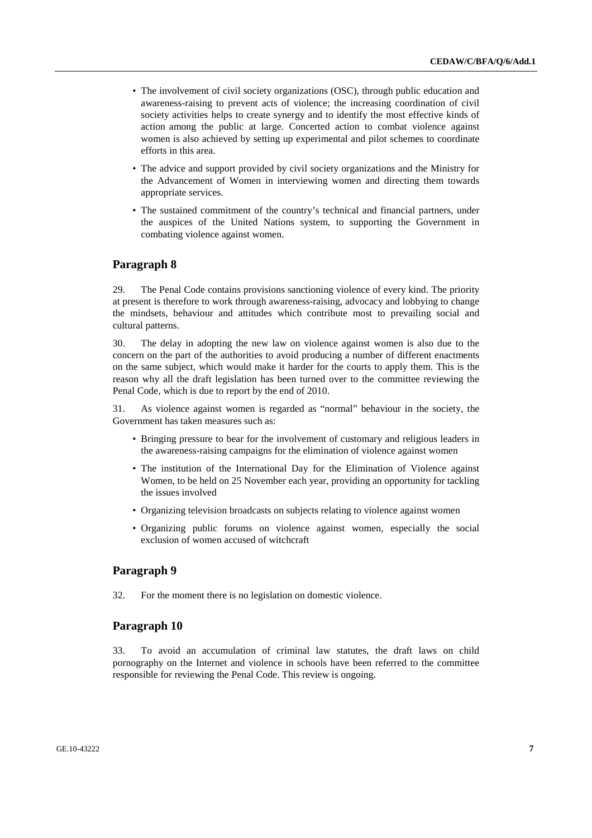- The involvement of civil society organizations (OSC), through public education and awareness-raising to prevent acts of violence; the increasing coordination of civil society activities helps to create synergy and to identify the most effective kinds of action among the public at large. Concerted action to combat violence against women is also achieved by setting up experimental and pilot schemes to coordinate efforts in this area.
- The advice and support provided by civil society organizations and the Ministry for the Advancement of Women in interviewing women and directing them towards appropriate services.
- The sustained commitment of the country's technical and financial partners, under the auspices of the United Nations system, to supporting the Government in combating violence against women.

29. The Penal Code contains provisions sanctioning violence of every kind. The priority at present is therefore to work through awareness-raising, advocacy and lobbying to change the mindsets, behaviour and attitudes which contribute most to prevailing social and cultural patterns.

30. The delay in adopting the new law on violence against women is also due to the concern on the part of the authorities to avoid producing a number of different enactments on the same subject, which would make it harder for the courts to apply them. This is the reason why all the draft legislation has been turned over to the committee reviewing the Penal Code, which is due to report by the end of 2010.

31. As violence against women is regarded as "normal" behaviour in the society, the Government has taken measures such as:

- Bringing pressure to bear for the involvement of customary and religious leaders in the awareness-raising campaigns for the elimination of violence against women
- The institution of the International Day for the Elimination of Violence against Women, to be held on 25 November each year, providing an opportunity for tackling the issues involved
- Organizing television broadcasts on subjects relating to violence against women
- Organizing public forums on violence against women, especially the social exclusion of women accused of witchcraft

## **Paragraph 9**

32. For the moment there is no legislation on domestic violence.

## **Paragraph 10**

33. To avoid an accumulation of criminal law statutes, the draft laws on child pornography on the Internet and violence in schools have been referred to the committee responsible for reviewing the Penal Code. This review is ongoing.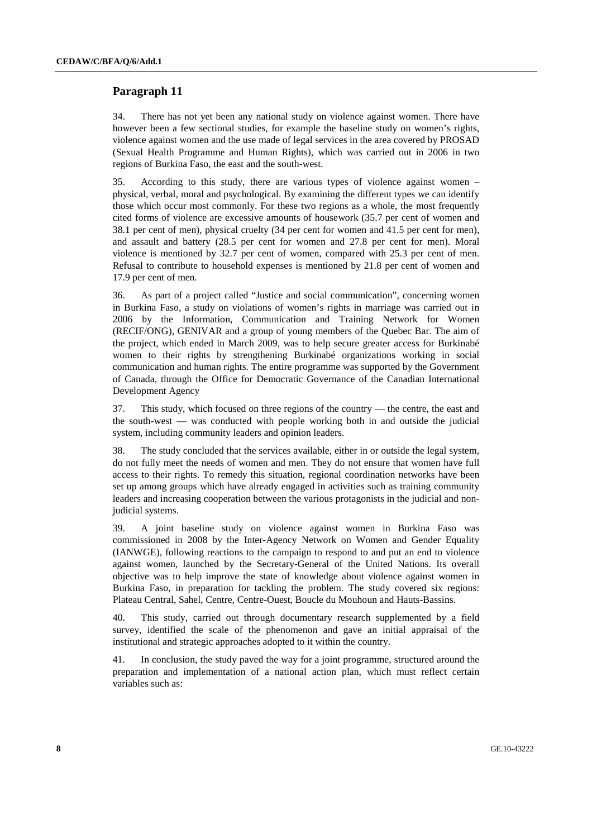34. There has not yet been any national study on violence against women. There have however been a few sectional studies, for example the baseline study on women's rights, violence against women and the use made of legal services in the area covered by PROSAD (Sexual Health Programme and Human Rights), which was carried out in 2006 in two regions of Burkina Faso, the east and the south-west.

35. According to this study, there are various types of violence against women – physical, verbal, moral and psychological. By examining the different types we can identify those which occur most commonly. For these two regions as a whole, the most frequently cited forms of violence are excessive amounts of housework (35.7 per cent of women and 38.1 per cent of men), physical cruelty (34 per cent for women and 41.5 per cent for men), and assault and battery (28.5 per cent for women and 27.8 per cent for men). Moral violence is mentioned by 32.7 per cent of women, compared with 25.3 per cent of men. Refusal to contribute to household expenses is mentioned by 21.8 per cent of women and 17.9 per cent of men.

36. As part of a project called "Justice and social communication", concerning women in Burkina Faso, a study on violations of women's rights in marriage was carried out in 2006 by the Information, Communication and Training Network for Women (RECIF/ONG), GENIVAR and a group of young members of the Quebec Bar. The aim of the project, which ended in March 2009, was to help secure greater access for Burkinabé women to their rights by strengthening Burkinabé organizations working in social communication and human rights. The entire programme was supported by the Government of Canada, through the Office for Democratic Governance of the Canadian International Development Agency

37. This study, which focused on three regions of the country — the centre, the east and the south-west — was conducted with people working both in and outside the judicial system, including community leaders and opinion leaders.

38. The study concluded that the services available, either in or outside the legal system, do not fully meet the needs of women and men. They do not ensure that women have full access to their rights. To remedy this situation, regional coordination networks have been set up among groups which have already engaged in activities such as training community leaders and increasing cooperation between the various protagonists in the judicial and nonjudicial systems.

39. A joint baseline study on violence against women in Burkina Faso was commissioned in 2008 by the Inter-Agency Network on Women and Gender Equality (IANWGE), following reactions to the campaign to respond to and put an end to violence against women, launched by the Secretary-General of the United Nations. Its overall objective was to help improve the state of knowledge about violence against women in Burkina Faso, in preparation for tackling the problem. The study covered six regions: Plateau Central, Sahel, Centre, Centre-Ouest, Boucle du Mouhoun and Hauts-Bassins.

40. This study, carried out through documentary research supplemented by a field survey, identified the scale of the phenomenon and gave an initial appraisal of the institutional and strategic approaches adopted to it within the country.

41. In conclusion, the study paved the way for a joint programme, structured around the preparation and implementation of a national action plan, which must reflect certain variables such as: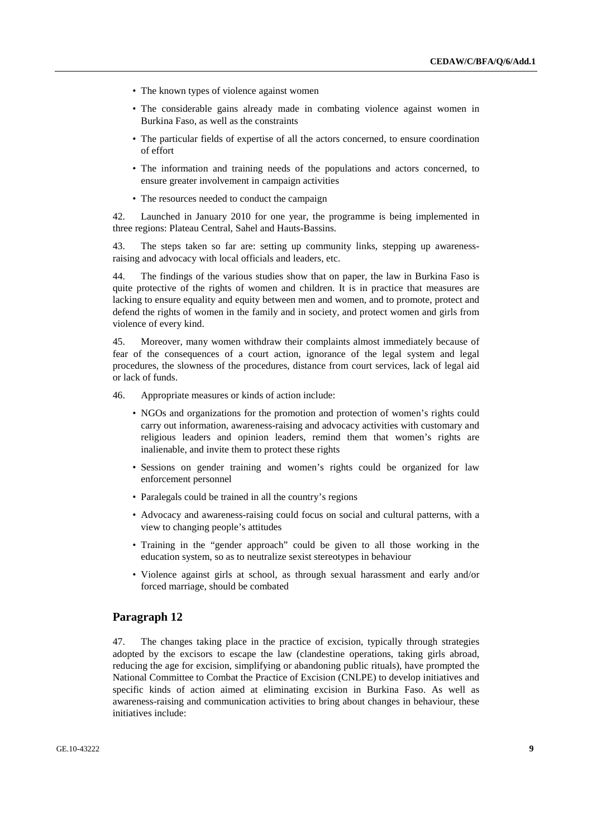- The known types of violence against women
- The considerable gains already made in combating violence against women in Burkina Faso, as well as the constraints
- The particular fields of expertise of all the actors concerned, to ensure coordination of effort
- The information and training needs of the populations and actors concerned, to ensure greater involvement in campaign activities
- The resources needed to conduct the campaign

42. Launched in January 2010 for one year, the programme is being implemented in three regions: Plateau Central, Sahel and Hauts-Bassins.

43. The steps taken so far are: setting up community links, stepping up awarenessraising and advocacy with local officials and leaders, etc.

44. The findings of the various studies show that on paper, the law in Burkina Faso is quite protective of the rights of women and children. It is in practice that measures are lacking to ensure equality and equity between men and women, and to promote, protect and defend the rights of women in the family and in society, and protect women and girls from violence of every kind.

45. Moreover, many women withdraw their complaints almost immediately because of fear of the consequences of a court action, ignorance of the legal system and legal procedures, the slowness of the procedures, distance from court services, lack of legal aid or lack of funds.

46. Appropriate measures or kinds of action include:

- NGOs and organizations for the promotion and protection of women's rights could carry out information, awareness-raising and advocacy activities with customary and religious leaders and opinion leaders, remind them that women's rights are inalienable, and invite them to protect these rights
- Sessions on gender training and women's rights could be organized for law enforcement personnel
- Paralegals could be trained in all the country's regions
- Advocacy and awareness-raising could focus on social and cultural patterns, with a view to changing people's attitudes
- Training in the "gender approach" could be given to all those working in the education system, so as to neutralize sexist stereotypes in behaviour
- Violence against girls at school, as through sexual harassment and early and/or forced marriage, should be combated

#### **Paragraph 12**

47. The changes taking place in the practice of excision, typically through strategies adopted by the excisors to escape the law (clandestine operations, taking girls abroad, reducing the age for excision, simplifying or abandoning public rituals), have prompted the National Committee to Combat the Practice of Excision (CNLPE) to develop initiatives and specific kinds of action aimed at eliminating excision in Burkina Faso. As well as awareness-raising and communication activities to bring about changes in behaviour, these initiatives include: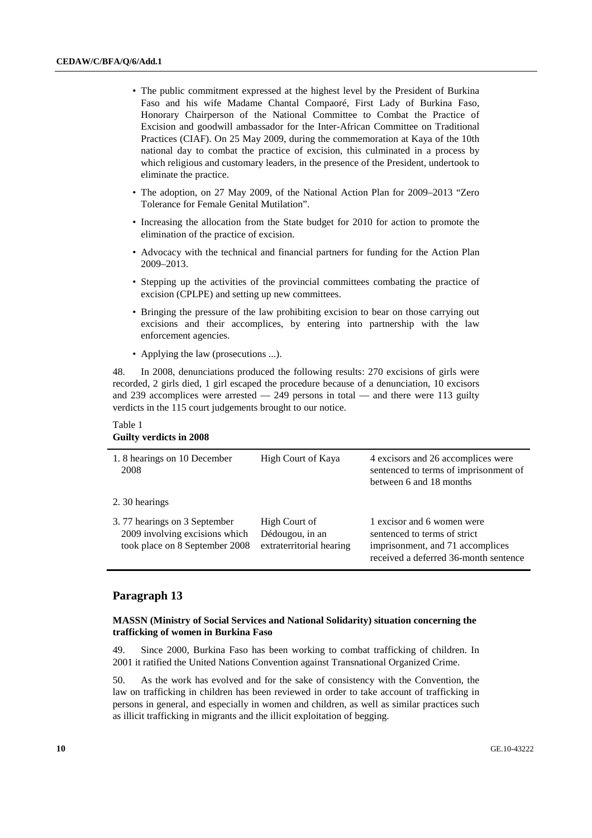- The public commitment expressed at the highest level by the President of Burkina Faso and his wife Madame Chantal Compaoré, First Lady of Burkina Faso, Honorary Chairperson of the National Committee to Combat the Practice of Excision and goodwill ambassador for the Inter-African Committee on Traditional Practices (CIAF). On 25 May 2009, during the commemoration at Kaya of the 10th national day to combat the practice of excision, this culminated in a process by which religious and customary leaders, in the presence of the President, undertook to eliminate the practice.
- The adoption, on 27 May 2009, of the National Action Plan for 2009–2013 "Zero Tolerance for Female Genital Mutilation".
- Increasing the allocation from the State budget for 2010 for action to promote the elimination of the practice of excision.
- Advocacy with the technical and financial partners for funding for the Action Plan 2009–2013.
- Stepping up the activities of the provincial committees combating the practice of excision (CPLPE) and setting up new committees.
- Bringing the pressure of the law prohibiting excision to bear on those carrying out excisions and their accomplices, by entering into partnership with the law enforcement agencies.
- Applying the law (prosecutions ...).

48. In 2008, denunciations produced the following results: 270 excisions of girls were recorded, 2 girls died, 1 girl escaped the procedure because of a denunciation, 10 excisors and 239 accomplices were arrested  $-$  249 persons in total  $-$  and there were 113 guilty verdicts in the 115 court judgements brought to our notice.

#### Table 1 **Guilty verdicts in 2008**

| 1.8 hearings on 10 December<br>2008                                                              | High Court of Kaya                                           | 4 excisors and 26 accomplices were<br>sentenced to terms of imprisonment of<br>between 6 and 18 months                                  |
|--------------------------------------------------------------------------------------------------|--------------------------------------------------------------|-----------------------------------------------------------------------------------------------------------------------------------------|
| 2.30 hearings                                                                                    |                                                              |                                                                                                                                         |
| 3.77 hearings on 3 September<br>2009 involving excisions which<br>took place on 8 September 2008 | High Court of<br>Dédougou, in an<br>extraterritorial hearing | 1 excisor and 6 women were<br>sentenced to terms of strict<br>imprisonment, and 71 accomplices<br>received a deferred 36-month sentence |

## **Paragraph 13**

#### **MASSN (Ministry of Social Services and National Solidarity) situation concerning the trafficking of women in Burkina Faso**

49. Since 2000, Burkina Faso has been working to combat trafficking of children. In 2001 it ratified the United Nations Convention against Transnational Organized Crime.

50. As the work has evolved and for the sake of consistency with the Convention, the law on trafficking in children has been reviewed in order to take account of trafficking in persons in general, and especially in women and children, as well as similar practices such as illicit trafficking in migrants and the illicit exploitation of begging.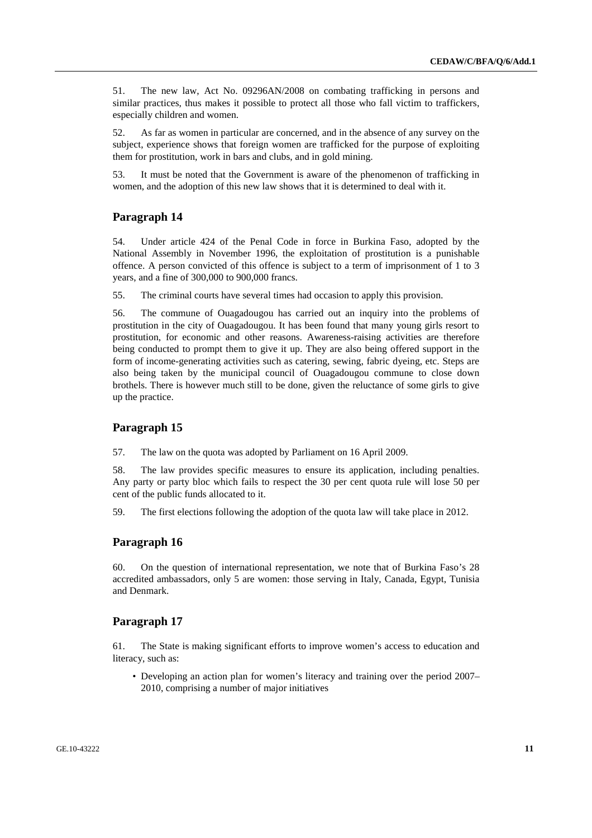51. The new law, Act No. 09296AN/2008 on combating trafficking in persons and similar practices, thus makes it possible to protect all those who fall victim to traffickers, especially children and women.

52. As far as women in particular are concerned, and in the absence of any survey on the subject, experience shows that foreign women are trafficked for the purpose of exploiting them for prostitution, work in bars and clubs, and in gold mining.

53. It must be noted that the Government is aware of the phenomenon of trafficking in women, and the adoption of this new law shows that it is determined to deal with it.

## **Paragraph 14**

54. Under article 424 of the Penal Code in force in Burkina Faso, adopted by the National Assembly in November 1996, the exploitation of prostitution is a punishable offence. A person convicted of this offence is subject to a term of imprisonment of 1 to 3 years, and a fine of 300,000 to 900,000 francs.

55. The criminal courts have several times had occasion to apply this provision.

56. The commune of Ouagadougou has carried out an inquiry into the problems of prostitution in the city of Ouagadougou. It has been found that many young girls resort to prostitution, for economic and other reasons. Awareness-raising activities are therefore being conducted to prompt them to give it up. They are also being offered support in the form of income-generating activities such as catering, sewing, fabric dyeing, etc. Steps are also being taken by the municipal council of Ouagadougou commune to close down brothels. There is however much still to be done, given the reluctance of some girls to give up the practice.

#### **Paragraph 15**

57. The law on the quota was adopted by Parliament on 16 April 2009.

58. The law provides specific measures to ensure its application, including penalties. Any party or party bloc which fails to respect the 30 per cent quota rule will lose 50 per cent of the public funds allocated to it.

59. The first elections following the adoption of the quota law will take place in 2012.

## **Paragraph 16**

60. On the question of international representation, we note that of Burkina Faso's 28 accredited ambassadors, only 5 are women: those serving in Italy, Canada, Egypt, Tunisia and Denmark.

#### **Paragraph 17**

61. The State is making significant efforts to improve women's access to education and literacy, such as:

• Developing an action plan for women's literacy and training over the period 2007– 2010, comprising a number of major initiatives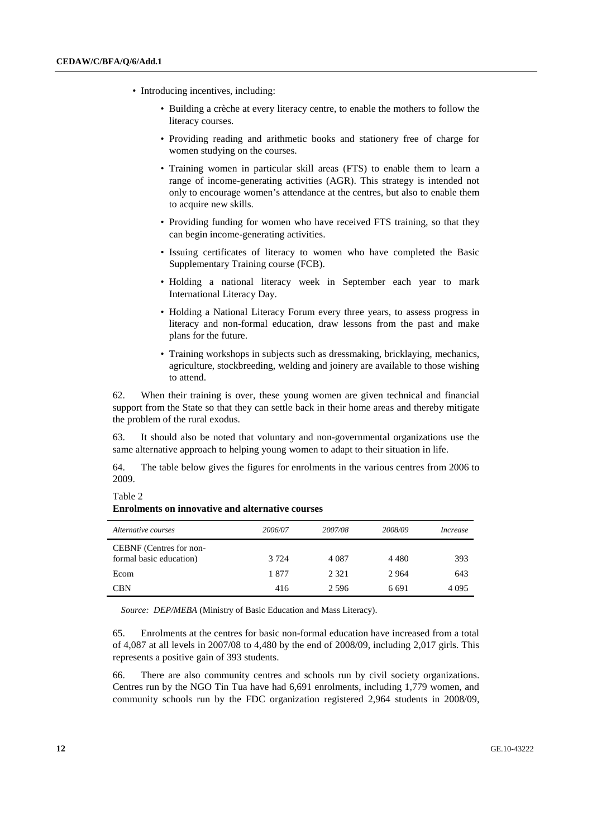- Introducing incentives, including:
	- Building a crèche at every literacy centre, to enable the mothers to follow the literacy courses.
	- Providing reading and arithmetic books and stationery free of charge for women studying on the courses.
	- Training women in particular skill areas (FTS) to enable them to learn a range of income-generating activities (AGR). This strategy is intended not only to encourage women's attendance at the centres, but also to enable them to acquire new skills.
	- Providing funding for women who have received FTS training, so that they can begin income-generating activities.
	- Issuing certificates of literacy to women who have completed the Basic Supplementary Training course (FCB).
	- Holding a national literacy week in September each year to mark International Literacy Day.
	- Holding a National Literacy Forum every three years, to assess progress in literacy and non-formal education, draw lessons from the past and make plans for the future.
	- Training workshops in subjects such as dressmaking, bricklaying, mechanics, agriculture, stockbreeding, welding and joinery are available to those wishing to attend.

62. When their training is over, these young women are given technical and financial support from the State so that they can settle back in their home areas and thereby mitigate the problem of the rural exodus.

63. It should also be noted that voluntary and non-governmental organizations use the same alternative approach to helping young women to adapt to their situation in life.

64. The table below gives the figures for enrolments in the various centres from 2006 to 2009.

| Alternative courses                                | 2006/07 | 2007/08 | 2008/09 | Increase |
|----------------------------------------------------|---------|---------|---------|----------|
| CEBNF (Centres for non-<br>formal basic education) | 3 7 2 4 | 4 0 8 7 | 4 4 8 0 | 393      |
| Ecom                                               | 1877    | 2 3 2 1 | 2964    | 643      |
| CBN                                                | 416     | 2.596   | 6.691   | 4 0 9 5  |

**Enrolments on innovative and alternative courses** 

Table 2

*Source: DEP/MEBA* (Ministry of Basic Education and Mass Literacy).

65. Enrolments at the centres for basic non-formal education have increased from a total of 4,087 at all levels in 2007/08 to 4,480 by the end of 2008/09, including 2,017 girls. This represents a positive gain of 393 students.

66. There are also community centres and schools run by civil society organizations. Centres run by the NGO Tin Tua have had 6,691 enrolments, including 1,779 women, and community schools run by the FDC organization registered 2,964 students in 2008/09,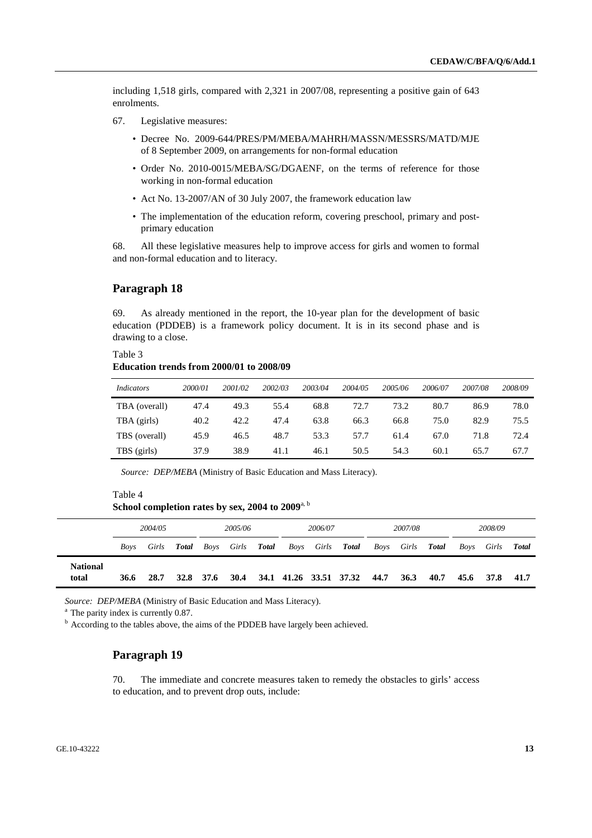including 1,518 girls, compared with 2,321 in 2007/08, representing a positive gain of 643 enrolments.

- 67. Legislative measures:
	- Decree No. 2009-644/PRES/PM/MEBA/MAHRH/MASSN/MESSRS/MATD/MJE of 8 September 2009, on arrangements for non-formal education
	- Order No. 2010-0015/MEBA/SG/DGAENF, on the terms of reference for those working in non-formal education
	- Act No. 13-2007/AN of 30 July 2007, the framework education law
	- The implementation of the education reform, covering preschool, primary and postprimary education

68. All these legislative measures help to improve access for girls and women to formal and non-formal education and to literacy.

## **Paragraph 18**

69. As already mentioned in the report, the 10-year plan for the development of basic education (PDDEB) is a framework policy document. It is in its second phase and is drawing to a close.

## Table 3 **Education trends from 2000/01 to 2008/09**

| <i>Indicators</i> | 2000/01 | 2001/02 | 2002/03 | 2003/04 | 2004/05 | 2005/06 | 2006/07 | 2007/08 | 2008/09 |
|-------------------|---------|---------|---------|---------|---------|---------|---------|---------|---------|
| TBA (overall)     | 47.4    | 49.3    | 55.4    | 68.8    | 72.7    | 73.2    | 80.7    | 86.9    | 78.0    |
| TBA (girls)       | 40.2    | 42.2    | 47.4    | 63.8    | 66.3    | 66.8    | 75.0    | 82.9    | 75.5    |
| TBS (overall)     | 45.9    | 46.5    | 48.7    | 53.3    | 57.7    | 61.4    | 67.0    | 71.8    | 72.4    |
| TBS (girls)       | 37.9    | 38.9    | 41.1    | 46.1    | 50.5    | 54.3    | 60.1    | 65.7    | 67.7    |

*Source: DEP/MEBA* (Ministry of Basic Education and Mass Literacy).

### Table 4 School completion rates by sex, 2004 to 2009<sup>a, b</sup>

|                          | 2004/05 |       | 2005/06 |           |       | 2006/07      |      | 2007/08 |                        |      | 2008/09 |              |      |       |              |
|--------------------------|---------|-------|---------|-----------|-------|--------------|------|---------|------------------------|------|---------|--------------|------|-------|--------------|
|                          | Boys    | Girls | Total   | Boys      | Girls | <b>Total</b> | Boys | Girls   | Total                  | Boys | Girls   | <b>Total</b> | Boys | Girls | <b>Total</b> |
| <b>National</b><br>total | 36.6    | 28.7  |         | 32.8 37.6 | 30.4  |              |      |         | 34.1 41.26 33.51 37.32 | 44.7 | 36.3    | 40.7         | 45.6 | 37.8  | 41.7         |

*Source: DEP/MEBA* (Ministry of Basic Education and Mass Literacy). <sup>a</sup> The parity index is currently 0.87.

 $<sup>b</sup>$  According to the tables above, the aims of the PDDEB have largely been achieved.</sup>

## **Paragraph 19**

70. The immediate and concrete measures taken to remedy the obstacles to girls' access to education, and to prevent drop outs, include: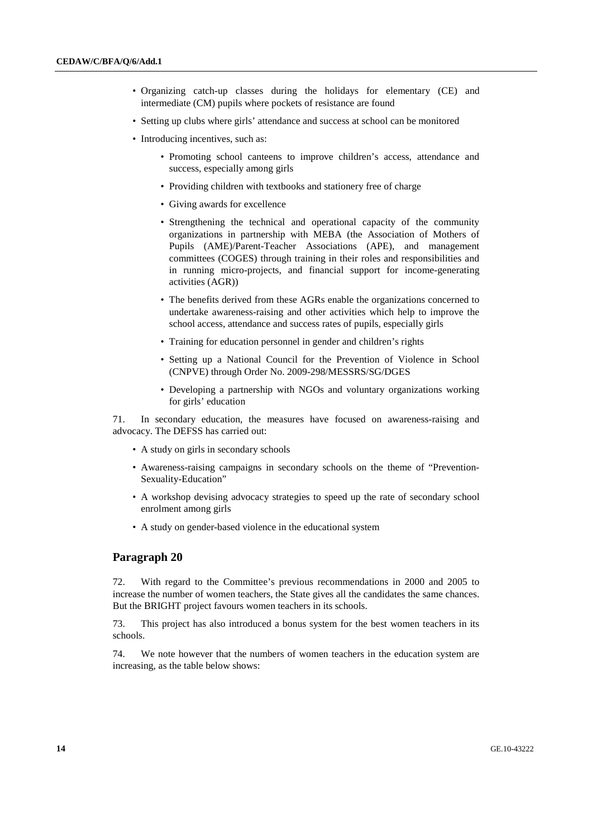- Organizing catch-up classes during the holidays for elementary (CE) and intermediate (CM) pupils where pockets of resistance are found
- Setting up clubs where girls' attendance and success at school can be monitored
- Introducing incentives, such as:
	- Promoting school canteens to improve children's access, attendance and success, especially among girls
	- Providing children with textbooks and stationery free of charge
	- Giving awards for excellence
	- Strengthening the technical and operational capacity of the community organizations in partnership with MEBA (the Association of Mothers of Pupils (AME)/Parent-Teacher Associations (APE), and management committees (COGES) through training in their roles and responsibilities and in running micro-projects, and financial support for income-generating activities (AGR))
	- The benefits derived from these AGRs enable the organizations concerned to undertake awareness-raising and other activities which help to improve the school access, attendance and success rates of pupils, especially girls
	- Training for education personnel in gender and children's rights
	- Setting up a National Council for the Prevention of Violence in School (CNPVE) through Order No. 2009-298/MESSRS/SG/DGES
	- Developing a partnership with NGOs and voluntary organizations working for girls' education

71. In secondary education, the measures have focused on awareness-raising and advocacy. The DEFSS has carried out:

- A study on girls in secondary schools
- Awareness-raising campaigns in secondary schools on the theme of "Prevention-Sexuality-Education"
- A workshop devising advocacy strategies to speed up the rate of secondary school enrolment among girls
- A study on gender-based violence in the educational system

#### **Paragraph 20**

72. With regard to the Committee's previous recommendations in 2000 and 2005 to increase the number of women teachers, the State gives all the candidates the same chances. But the BRIGHT project favours women teachers in its schools.

73. This project has also introduced a bonus system for the best women teachers in its schools.

74. We note however that the numbers of women teachers in the education system are increasing, as the table below shows: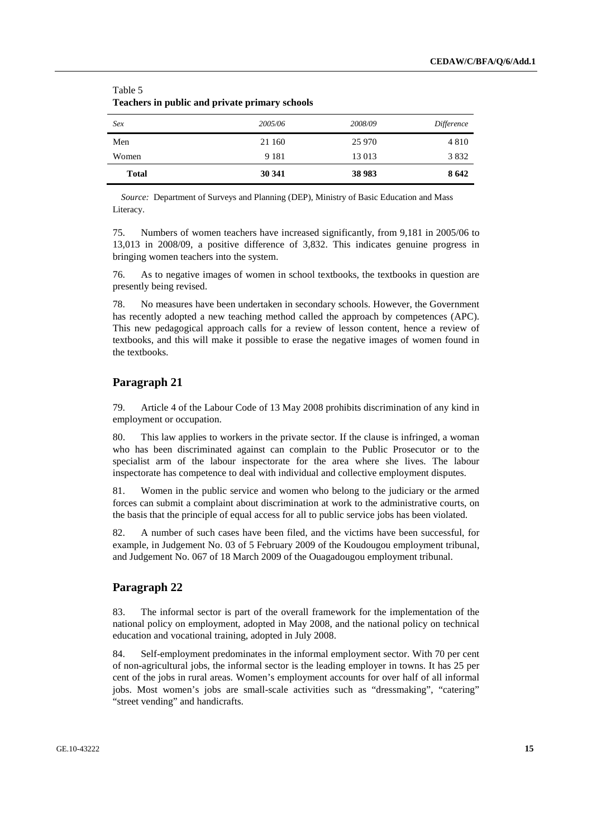| Teachers in public and private primary schools |         |         |            |  |  |  |  |  |  |
|------------------------------------------------|---------|---------|------------|--|--|--|--|--|--|
| Sex                                            | 2005/06 | 2008/09 | Difference |  |  |  |  |  |  |
| Men                                            | 21 160  | 25 970  | 4 8 1 0    |  |  |  |  |  |  |
| Women                                          | 9 1 8 1 | 13013   | 3832       |  |  |  |  |  |  |
| <b>Total</b>                                   | 30 341  | 38 983  | 8642       |  |  |  |  |  |  |

## Table 5 **Teachers in public and private primary schools**

*Source:* Department of Surveys and Planning (DEP), Ministry of Basic Education and Mass Literacy.

75. Numbers of women teachers have increased significantly, from 9,181 in 2005/06 to 13,013 in 2008/09, a positive difference of 3,832. This indicates genuine progress in bringing women teachers into the system.

76. As to negative images of women in school textbooks, the textbooks in question are presently being revised.

78. No measures have been undertaken in secondary schools. However, the Government has recently adopted a new teaching method called the approach by competences (APC). This new pedagogical approach calls for a review of lesson content, hence a review of textbooks, and this will make it possible to erase the negative images of women found in the textbooks.

## **Paragraph 21**

79. Article 4 of the Labour Code of 13 May 2008 prohibits discrimination of any kind in employment or occupation.

80. This law applies to workers in the private sector. If the clause is infringed, a woman who has been discriminated against can complain to the Public Prosecutor or to the specialist arm of the labour inspectorate for the area where she lives. The labour inspectorate has competence to deal with individual and collective employment disputes.

81. Women in the public service and women who belong to the judiciary or the armed forces can submit a complaint about discrimination at work to the administrative courts, on the basis that the principle of equal access for all to public service jobs has been violated.

82. A number of such cases have been filed, and the victims have been successful, for example, in Judgement No. 03 of 5 February 2009 of the Koudougou employment tribunal, and Judgement No. 067 of 18 March 2009 of the Ouagadougou employment tribunal.

## **Paragraph 22**

83. The informal sector is part of the overall framework for the implementation of the national policy on employment, adopted in May 2008, and the national policy on technical education and vocational training, adopted in July 2008.

84. Self-employment predominates in the informal employment sector. With 70 per cent of non-agricultural jobs, the informal sector is the leading employer in towns. It has 25 per cent of the jobs in rural areas. Women's employment accounts for over half of all informal jobs. Most women's jobs are small-scale activities such as "dressmaking", "catering" "street vending" and handicrafts.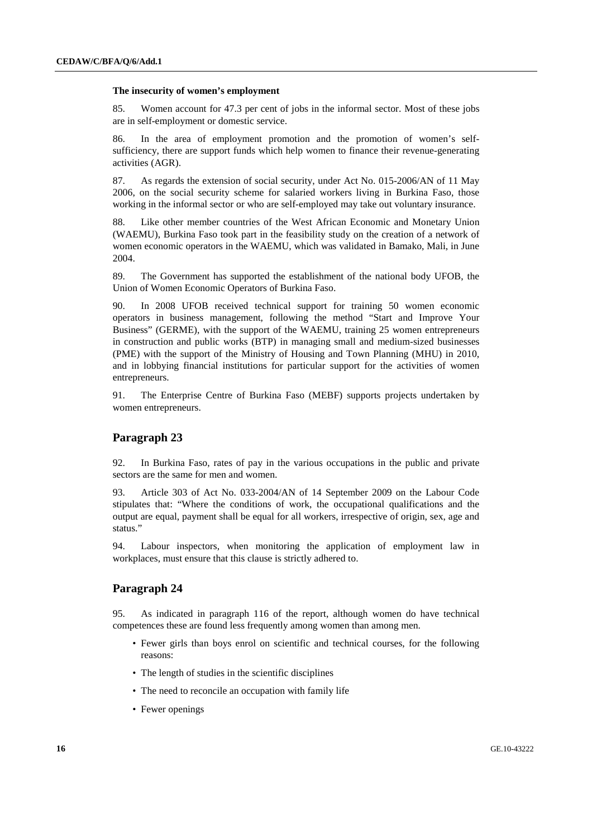#### **The insecurity of women's employment**

85. Women account for 47.3 per cent of jobs in the informal sector. Most of these jobs are in self-employment or domestic service.

86. In the area of employment promotion and the promotion of women's selfsufficiency, there are support funds which help women to finance their revenue-generating activities (AGR).

87. As regards the extension of social security, under Act No. 015-2006/AN of 11 May 2006, on the social security scheme for salaried workers living in Burkina Faso, those working in the informal sector or who are self-employed may take out voluntary insurance.

88. Like other member countries of the West African Economic and Monetary Union (WAEMU), Burkina Faso took part in the feasibility study on the creation of a network of women economic operators in the WAEMU, which was validated in Bamako, Mali, in June 2004.

89. The Government has supported the establishment of the national body UFOB, the Union of Women Economic Operators of Burkina Faso.

90. In 2008 UFOB received technical support for training 50 women economic operators in business management, following the method "Start and Improve Your Business" (GERME), with the support of the WAEMU, training 25 women entrepreneurs in construction and public works (BTP) in managing small and medium-sized businesses (PME) with the support of the Ministry of Housing and Town Planning (MHU) in 2010, and in lobbying financial institutions for particular support for the activities of women entrepreneurs.

91. The Enterprise Centre of Burkina Faso (MEBF) supports projects undertaken by women entrepreneurs.

#### **Paragraph 23**

92. In Burkina Faso, rates of pay in the various occupations in the public and private sectors are the same for men and women.

93. Article 303 of Act No. 033-2004/AN of 14 September 2009 on the Labour Code stipulates that: "Where the conditions of work, the occupational qualifications and the output are equal, payment shall be equal for all workers, irrespective of origin, sex, age and status."

94. Labour inspectors, when monitoring the application of employment law in workplaces, must ensure that this clause is strictly adhered to.

## **Paragraph 24**

95. As indicated in paragraph 116 of the report, although women do have technical competences these are found less frequently among women than among men.

- Fewer girls than boys enrol on scientific and technical courses, for the following reasons:
- The length of studies in the scientific disciplines
- The need to reconcile an occupation with family life
- Fewer openings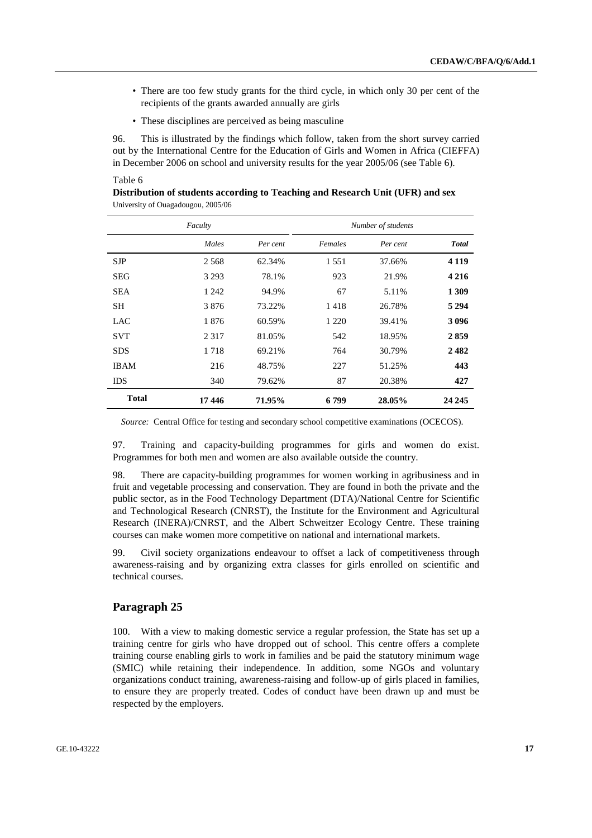- There are too few study grants for the third cycle, in which only 30 per cent of the recipients of the grants awarded annually are girls
- These disciplines are perceived as being masculine

96. This is illustrated by the findings which follow, taken from the short survey carried out by the International Centre for the Education of Girls and Women in Africa (CIEFFA) in December 2006 on school and university results for the year 2005/06 (see Table 6).

## Table 6

| Distribution of students according to Teaching and Research Unit (UFR) and sex |  |
|--------------------------------------------------------------------------------|--|
| University of Ouagadougou, 2005/06                                             |  |

|              | Faculty |          | Number of students |          |               |  |  |  |
|--------------|---------|----------|--------------------|----------|---------------|--|--|--|
|              | Males   | Per cent | Females            | Per cent | <b>T</b> otal |  |  |  |
| <b>SJP</b>   | 2 5 6 8 | 62.34%   | 1 5 5 1            | 37.66%   | 4 1 1 9       |  |  |  |
| <b>SEG</b>   | 3 2 9 3 | 78.1%    | 923                | 21.9%    | 4 2 1 6       |  |  |  |
| <b>SEA</b>   | 1 2 4 2 | 94.9%    | 67                 | 5.11%    | 1 3 0 9       |  |  |  |
| <b>SH</b>    | 3876    | 73.22%   | 1418               | 26.78%   | 5 2 9 4       |  |  |  |
| LAC.         | 1876    | 60.59%   | 1 2 2 0            | 39.41%   | 3 0 9 6       |  |  |  |
| <b>SVT</b>   | 2 3 1 7 | 81.05%   | 542                | 18.95%   | 2859          |  |  |  |
| <b>SDS</b>   | 1718    | 69.21%   | 764                | 30.79%   | 2482          |  |  |  |
| <b>IBAM</b>  | 216     | 48.75%   | 227                | 51.25%   | 443           |  |  |  |
| <b>IDS</b>   | 340     | 79.62%   | 87                 | 20.38%   | 427           |  |  |  |
| <b>Total</b> | 17446   | 71.95%   | 6 799              | 28.05%   | 24 245        |  |  |  |

*Source:* Central Office for testing and secondary school competitive examinations (OCECOS).

97. Training and capacity-building programmes for girls and women do exist. Programmes for both men and women are also available outside the country.

98. There are capacity-building programmes for women working in agribusiness and in fruit and vegetable processing and conservation. They are found in both the private and the public sector, as in the Food Technology Department (DTA)/National Centre for Scientific and Technological Research (CNRST), the Institute for the Environment and Agricultural Research (INERA)/CNRST, and the Albert Schweitzer Ecology Centre. These training courses can make women more competitive on national and international markets.

99. Civil society organizations endeavour to offset a lack of competitiveness through awareness-raising and by organizing extra classes for girls enrolled on scientific and technical courses.

## **Paragraph 25**

100. With a view to making domestic service a regular profession, the State has set up a training centre for girls who have dropped out of school. This centre offers a complete training course enabling girls to work in families and be paid the statutory minimum wage (SMIC) while retaining their independence. In addition, some NGOs and voluntary organizations conduct training, awareness-raising and follow-up of girls placed in families, to ensure they are properly treated. Codes of conduct have been drawn up and must be respected by the employers.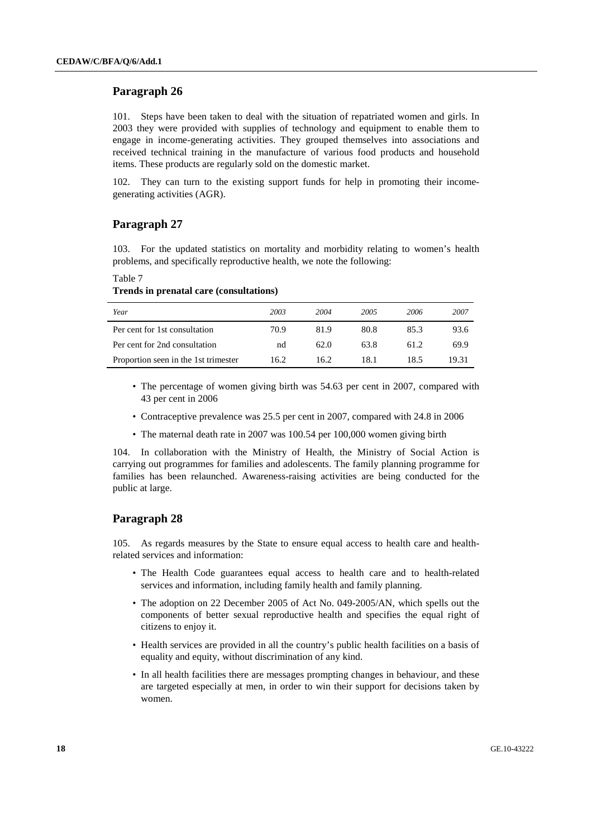101. Steps have been taken to deal with the situation of repatriated women and girls. In 2003 they were provided with supplies of technology and equipment to enable them to engage in income-generating activities. They grouped themselves into associations and received technical training in the manufacture of various food products and household items. These products are regularly sold on the domestic market.

102. They can turn to the existing support funds for help in promoting their incomegenerating activities (AGR).

## **Paragraph 27**

103. For the updated statistics on mortality and morbidity relating to women's health problems, and specifically reproductive health, we note the following:

Table 7 **Trends in prenatal care (consultations)** 

| Year                                 | 2003 | 2004 | 2005 | 2006 | 2007  |
|--------------------------------------|------|------|------|------|-------|
| Per cent for 1st consultation        | 70.9 | 81.9 | 80.8 | 85.3 | 93.6  |
| Per cent for 2nd consultation        | nd   | 62.0 | 63.8 | 61.2 | 69.9  |
| Proportion seen in the 1st trimester | 16.2 | 16.2 | 18.1 | 18.5 | 19.31 |

- The percentage of women giving birth was 54.63 per cent in 2007, compared with 43 per cent in 2006
- Contraceptive prevalence was 25.5 per cent in 2007, compared with 24.8 in 2006
- The maternal death rate in 2007 was 100.54 per 100,000 women giving birth

104. In collaboration with the Ministry of Health, the Ministry of Social Action is carrying out programmes for families and adolescents. The family planning programme for families has been relaunched. Awareness-raising activities are being conducted for the public at large.

## **Paragraph 28**

105. As regards measures by the State to ensure equal access to health care and healthrelated services and information:

- The Health Code guarantees equal access to health care and to health-related services and information, including family health and family planning.
- The adoption on 22 December 2005 of Act No. 049-2005/AN, which spells out the components of better sexual reproductive health and specifies the equal right of citizens to enjoy it.
- Health services are provided in all the country's public health facilities on a basis of equality and equity, without discrimination of any kind.
- In all health facilities there are messages prompting changes in behaviour, and these are targeted especially at men, in order to win their support for decisions taken by women.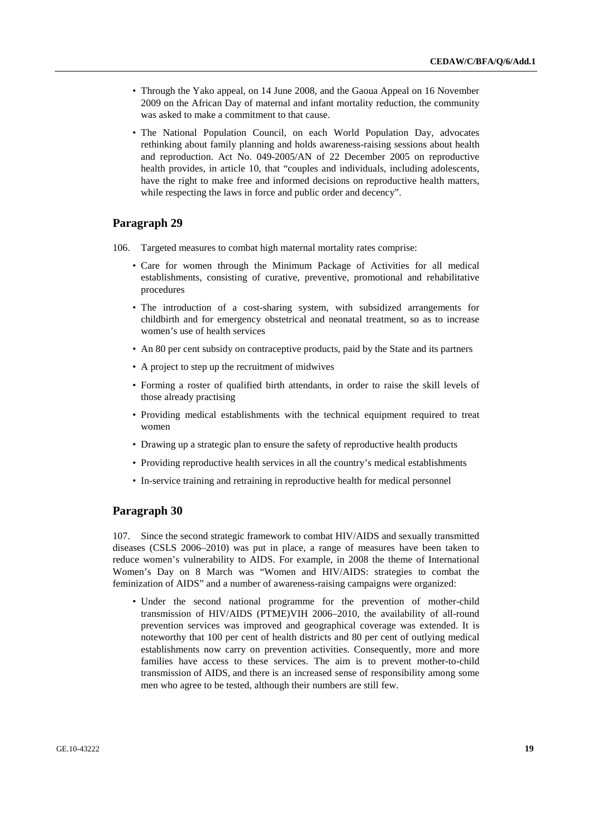- Through the Yako appeal, on 14 June 2008, and the Gaoua Appeal on 16 November 2009 on the African Day of maternal and infant mortality reduction, the community was asked to make a commitment to that cause.
- The National Population Council, on each World Population Day, advocates rethinking about family planning and holds awareness-raising sessions about health and reproduction. Act No. 049-2005/AN of 22 December 2005 on reproductive health provides, in article 10, that "couples and individuals, including adolescents, have the right to make free and informed decisions on reproductive health matters, while respecting the laws in force and public order and decency".

- 106. Targeted measures to combat high maternal mortality rates comprise:
	- Care for women through the Minimum Package of Activities for all medical establishments, consisting of curative, preventive, promotional and rehabilitative procedures
	- The introduction of a cost-sharing system, with subsidized arrangements for childbirth and for emergency obstetrical and neonatal treatment, so as to increase women's use of health services
	- An 80 per cent subsidy on contraceptive products, paid by the State and its partners
	- A project to step up the recruitment of midwives
	- Forming a roster of qualified birth attendants, in order to raise the skill levels of those already practising
	- Providing medical establishments with the technical equipment required to treat women
	- Drawing up a strategic plan to ensure the safety of reproductive health products
	- Providing reproductive health services in all the country's medical establishments
	- In-service training and retraining in reproductive health for medical personnel

#### **Paragraph 30**

107. Since the second strategic framework to combat HIV/AIDS and sexually transmitted diseases (CSLS 2006–2010) was put in place, a range of measures have been taken to reduce women's vulnerability to AIDS. For example, in 2008 the theme of International Women's Day on 8 March was "Women and HIV/AIDS: strategies to combat the feminization of AIDS" and a number of awareness-raising campaigns were organized:

• Under the second national programme for the prevention of mother-child transmission of HIV/AIDS (PTME)VIH 2006–2010, the availability of all-round prevention services was improved and geographical coverage was extended. It is noteworthy that 100 per cent of health districts and 80 per cent of outlying medical establishments now carry on prevention activities. Consequently, more and more families have access to these services. The aim is to prevent mother-to-child transmission of AIDS, and there is an increased sense of responsibility among some men who agree to be tested, although their numbers are still few.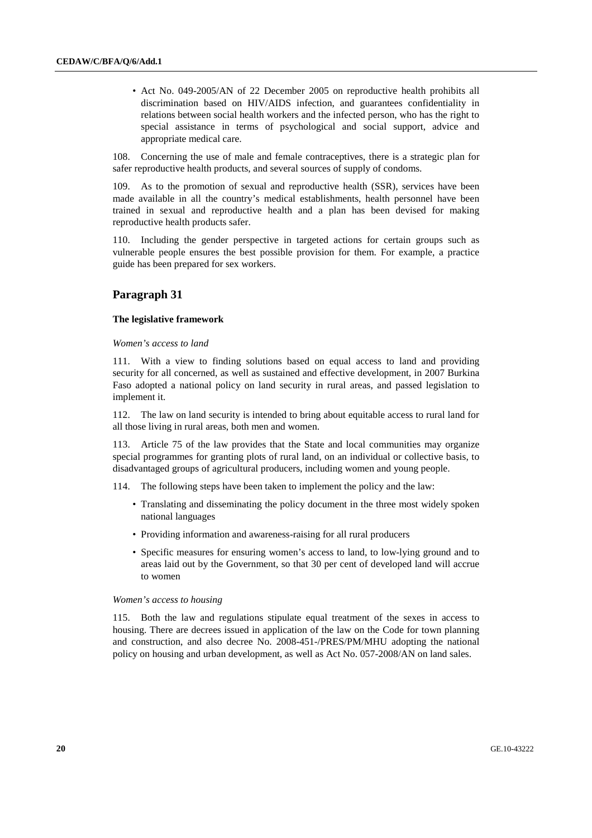• Act No. 049-2005/AN of 22 December 2005 on reproductive health prohibits all discrimination based on HIV/AIDS infection, and guarantees confidentiality in relations between social health workers and the infected person, who has the right to special assistance in terms of psychological and social support, advice and appropriate medical care.

108. Concerning the use of male and female contraceptives, there is a strategic plan for safer reproductive health products, and several sources of supply of condoms.

109. As to the promotion of sexual and reproductive health (SSR), services have been made available in all the country's medical establishments, health personnel have been trained in sexual and reproductive health and a plan has been devised for making reproductive health products safer.

110. Including the gender perspective in targeted actions for certain groups such as vulnerable people ensures the best possible provision for them. For example, a practice guide has been prepared for sex workers.

## **Paragraph 31**

#### **The legislative framework**

 *Women's access to land* 

111. With a view to finding solutions based on equal access to land and providing security for all concerned, as well as sustained and effective development, in 2007 Burkina Faso adopted a national policy on land security in rural areas, and passed legislation to implement it.

112. The law on land security is intended to bring about equitable access to rural land for all those living in rural areas, both men and women.

113. Article 75 of the law provides that the State and local communities may organize special programmes for granting plots of rural land, on an individual or collective basis, to disadvantaged groups of agricultural producers, including women and young people.

114. The following steps have been taken to implement the policy and the law:

- Translating and disseminating the policy document in the three most widely spoken national languages
- Providing information and awareness-raising for all rural producers
- Specific measures for ensuring women's access to land, to low-lying ground and to areas laid out by the Government, so that 30 per cent of developed land will accrue to women

#### *Women's access to housing*

115. Both the law and regulations stipulate equal treatment of the sexes in access to housing. There are decrees issued in application of the law on the Code for town planning and construction, and also decree No. 2008-451-/PRES/PM/MHU adopting the national policy on housing and urban development, as well as Act No. 057-2008/AN on land sales.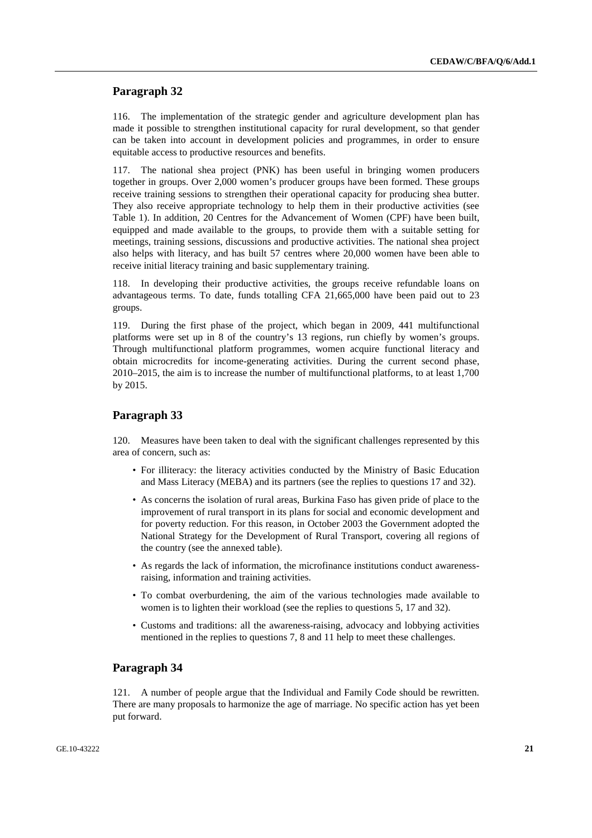116. The implementation of the strategic gender and agriculture development plan has made it possible to strengthen institutional capacity for rural development, so that gender can be taken into account in development policies and programmes, in order to ensure equitable access to productive resources and benefits.

117. The national shea project (PNK) has been useful in bringing women producers together in groups. Over 2,000 women's producer groups have been formed. These groups receive training sessions to strengthen their operational capacity for producing shea butter. They also receive appropriate technology to help them in their productive activities (see Table 1). In addition, 20 Centres for the Advancement of Women (CPF) have been built, equipped and made available to the groups, to provide them with a suitable setting for meetings, training sessions, discussions and productive activities. The national shea project also helps with literacy, and has built 57 centres where 20,000 women have been able to receive initial literacy training and basic supplementary training.

118. In developing their productive activities, the groups receive refundable loans on advantageous terms. To date, funds totalling CFA 21,665,000 have been paid out to 23 groups.

119. During the first phase of the project, which began in 2009, 441 multifunctional platforms were set up in 8 of the country's 13 regions, run chiefly by women's groups. Through multifunctional platform programmes, women acquire functional literacy and obtain microcredits for income-generating activities. During the current second phase, 2010–2015, the aim is to increase the number of multifunctional platforms, to at least 1,700 by 2015.

#### **Paragraph 33**

120. Measures have been taken to deal with the significant challenges represented by this area of concern, such as:

- For illiteracy: the literacy activities conducted by the Ministry of Basic Education and Mass Literacy (MEBA) and its partners (see the replies to questions 17 and 32).
- As concerns the isolation of rural areas, Burkina Faso has given pride of place to the improvement of rural transport in its plans for social and economic development and for poverty reduction. For this reason, in October 2003 the Government adopted the National Strategy for the Development of Rural Transport, covering all regions of the country (see the annexed table).
- As regards the lack of information, the microfinance institutions conduct awarenessraising, information and training activities.
- To combat overburdening, the aim of the various technologies made available to women is to lighten their workload (see the replies to questions 5, 17 and 32).
- Customs and traditions: all the awareness-raising, advocacy and lobbying activities mentioned in the replies to questions 7, 8 and 11 help to meet these challenges.

#### **Paragraph 34**

121. A number of people argue that the Individual and Family Code should be rewritten. There are many proposals to harmonize the age of marriage. No specific action has yet been put forward.